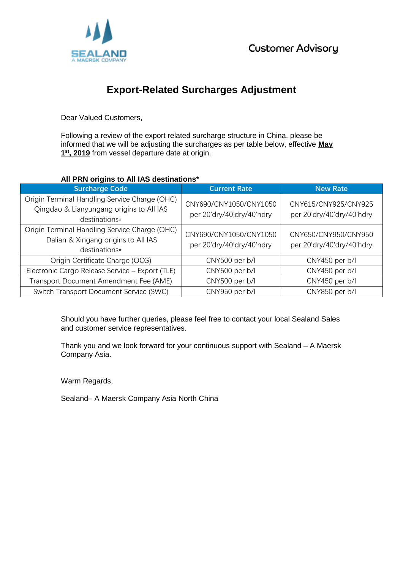

## **Export-Related Surcharges Adjustment**

Dear Valued Customers,

Following a review of the export related surcharge structure in China, please be informed that we will be adjusting the surcharges as per table below, effective **May 1 st, 2019** from vessel departure date at origin.

## **All PRN origins to All IAS destinations\***

| <b>Surcharge Code</b>                                                                                      | <b>Current Rate</b>                                 | <b>New Rate</b>                                   |
|------------------------------------------------------------------------------------------------------------|-----------------------------------------------------|---------------------------------------------------|
| Origin Terminal Handling Service Charge (OHC)<br>Qingdao & Lianyungang origins to All IAS<br>destinations* | CNY690/CNY1050/CNY1050<br>per 20'dry/40'dry/40'hdry | CNY615/CNY925/CNY925<br>per 20'dry/40'dry/40'hdry |
| Origin Terminal Handling Service Charge (OHC)<br>Dalian & Xingang origins to All IAS<br>destinations*      | CNY690/CNY1050/CNY1050<br>per 20'dry/40'dry/40'hdry | CNY650/CNY950/CNY950<br>per 20'dry/40'dry/40'hdry |
| Origin Certificate Charge (OCG)                                                                            | CNY500 per b/l                                      | CNY450 per b/l                                    |
| Electronic Cargo Release Service - Export (TLE)                                                            | CNY500 per b/l                                      | CNY450 per b/l                                    |
| Transport Document Amendment Fee (AME)                                                                     | CNY500 per b/l                                      | CNY450 per b/l                                    |
| Switch Transport Document Service (SWC)                                                                    | CNY950 per b/l                                      | CNY850 per b/l                                    |

Should you have further queries, please feel free to contact your local Sealand Sales and customer service representatives.

Thank you and we look forward for your continuous support with Sealand – A Maersk Company Asia.

Warm Regards,

Sealand– A Maersk Company Asia North China